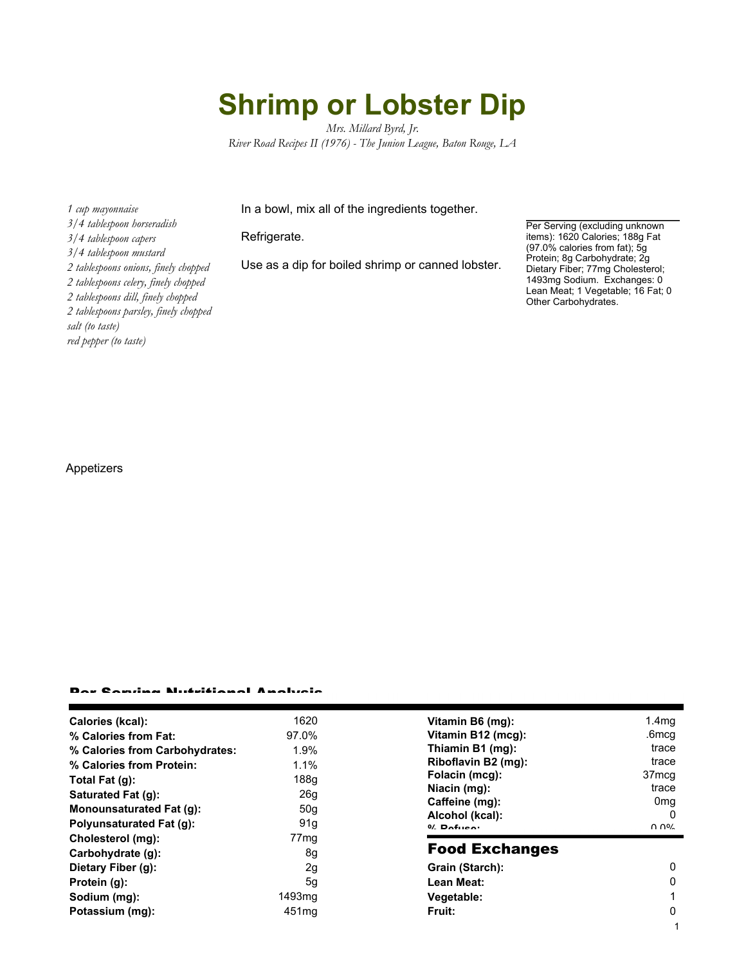# **Shrimp or Lobster Dip**

*Mrs. Millard Byrd, Jr. River Road Recipes II (1976) - The Junion League, Baton Rouge, LA*

In a bowl, mix all of the ingredients together.

#### Refrigerate.

Use as a dip for boiled shrimp or canned lobster.

Per Serving (excluding unknown items): 1620 Calories; 188g Fat (97.0% calories from fat); 5g Protein; 8g Carbohydrate; 2g Dietary Fiber; 77mg Cholesterol; 1493mg Sodium. Exchanges: 0 Lean Meat; 1 Vegetable; 16 Fat; 0 Other Carbohydrates.

*3/4 tablespoon horseradish 3/4 tablespoon capers 3/4 tablespoon mustard 2 tablespoons onions, finely chopped 2 tablespoons celery, finely chopped 2 tablespoons dill, finely chopped 2 tablespoons parsley, finely chopped salt (to taste) red pepper (to taste)*

*1 cup mayonnaise*

### Appetizers

#### Per Serving Nutritional Analysis

| Calories (kcal):                | 1620              | Vitamin B6 (mg):                  | 1.4 <sub>mq</sub> |
|---------------------------------|-------------------|-----------------------------------|-------------------|
| % Calories from Fat:            | 97.0%             | Vitamin B12 (mcg):                | .6mcg             |
| % Calories from Carbohydrates:  | 1.9%              | Thiamin B1 (mg):                  | trace             |
| % Calories from Protein:        | 1.1%              | Riboflavin B2 (mg):               | trace             |
| Total Fat $(g)$ :               | 188q              | Folacin (mcg):                    | 37 <sub>mcq</sub> |
| Saturated Fat (g):              | 26 <sub>g</sub>   | Niacin (mg):                      | trace             |
| <b>Monounsaturated Fat (g):</b> | 50g               | Caffeine (mg):                    | 0 <sub>mq</sub>   |
| Polyunsaturated Fat (g):        | 91g               | Alcohol (kcal):<br>$0/2$ Pofileo: | በ በ%              |
| Cholesterol (mg):               | 77 <sub>mg</sub>  |                                   |                   |
| Carbohydrate (g):               | 8g                | <b>Food Exchanges</b>             |                   |
| Dietary Fiber (g):              | 2g                | Grain (Starch):                   | 0                 |
| Protein (g):                    | 5 <sub>q</sub>    | Lean Meat:                        | 0                 |
| Sodium (mg):                    | 1493mg            | Vegetable:                        |                   |
| Potassium (mg):                 | 451 <sub>mg</sub> | <b>Fruit:</b>                     | 0                 |
|                                 |                   |                                   |                   |